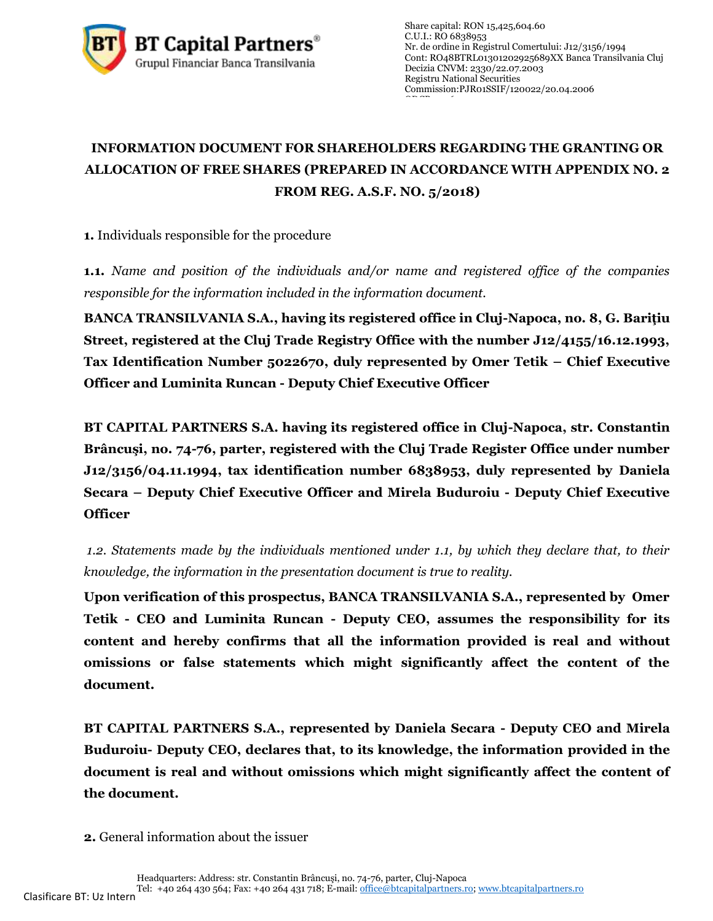

## **INFORMATION DOCUMENT FOR SHAREHOLDERS REGARDING THE GRANTING OR ALLOCATION OF FREE SHARES (PREPARED IN ACCORDANCE WITH APPENDIX NO. 2 FROM REG. A.S.F. NO. 5/2018)**

**1.** Individuals responsible for the procedure

**1.1.** *Name and position of the individuals and/or name and registered office of the companies responsible for the information included in the information document.*

**BANCA TRANSILVANIA S.A., having its registered office in Cluj-Napoca, no. 8, G. Bariţiu Street, registered at the Cluj Trade Registry Office with the number J12/4155/16.12.1993, Tax Identification Number 5022670, duly represented by Omer Tetik – Chief Executive Officer and Luminita Runcan - Deputy Chief Executive Officer**

**BT CAPITAL PARTNERS S.A. having its registered office in Cluj-Napoca, str. Constantin Brâncuşi, no. 74-76, parter, registered with the Cluj Trade Register Office under number J12/3156/04.11.1994, tax identification number 6838953, duly represented by Daniela Secara – Deputy Chief Executive Officer and Mirela Buduroiu - Deputy Chief Executive Officer**

*1.2. Statements made by the individuals mentioned under 1.1, by which they declare that, to their knowledge, the information in the presentation document is true to reality.* 

**Upon verification of this prospectus, BANCA TRANSILVANIA S.A., represented by Omer Tetik - CEO and Luminita Runcan - Deputy CEO, assumes the responsibility for its content and hereby confirms that all the information provided is real and without omissions or false statements which might significantly affect the content of the document.**

**BT CAPITAL PARTNERS S.A., represented by Daniela Secara - Deputy CEO and Mirela Buduroiu- Deputy CEO, declares that, to its knowledge, the information provided in the document is real and without omissions which might significantly affect the content of the document.**

**2.** General information about the issuer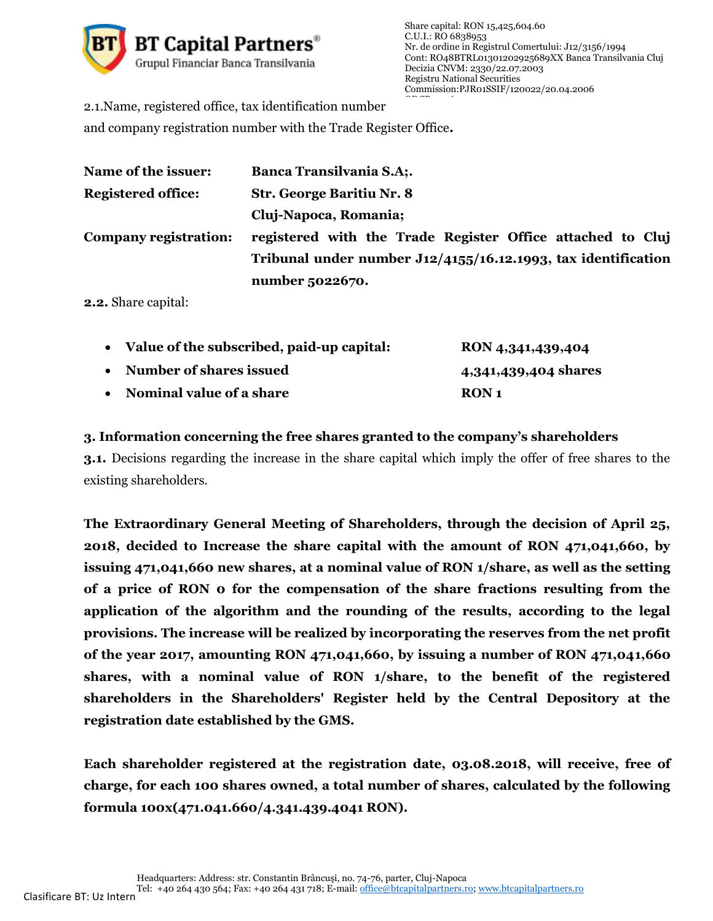

2.1.Name, registered office, tax identification number

and company registration number with the Trade Register Office**.**

| Name of the issuer:       | <b>Banca Transilvania S.A;.</b>                                  |
|---------------------------|------------------------------------------------------------------|
| <b>Registered office:</b> | <b>Str. George Baritiu Nr. 8</b>                                 |
|                           | Cluj-Napoca, Romania;                                            |
| Company registration:     | registered with the Trade Register Office attached to Cluj       |
|                           | Tribunal under number $J12/4155/16.12.1993$ , tax identification |
|                           | number 5022670.                                                  |

**2.2.** Share capital:

| • Value of the subscribed, paid-up capital: | RON 4,341,439,404       |
|---------------------------------------------|-------------------------|
| • Number of shares issued                   | 4,341,439,404 shares    |
| • Nominal value of a share                  | <b>RON</b> <sub>1</sub> |

## **3. Information concerning the free shares granted to the company's shareholders**

**3.1.** Decisions regarding the increase in the share capital which imply the offer of free shares to the existing shareholders.

**The Extraordinary General Meeting of Shareholders, through the decision of April 25, 2018, decided to Increase the share capital with the amount of RON 471,041,660, by issuing 471,041,660 new shares, at a nominal value of RON 1/share, as well as the setting of a price of RON 0 for the compensation of the share fractions resulting from the application of the algorithm and the rounding of the results, according to the legal provisions. The increase will be realized by incorporating the reserves from the net profit of the year 2017, amounting RON 471,041,660, by issuing a number of RON 471,041,660 shares, with a nominal value of RON 1/share, to the benefit of the registered shareholders in the Shareholders' Register held by the Central Depository at the registration date established by the GMS.**

**Each shareholder registered at the registration date, 03.08.2018, will receive, free of charge, for each 100 shares owned, a total number of shares, calculated by the following formula 100x(471.041.660/4.341.439.4041 RON).**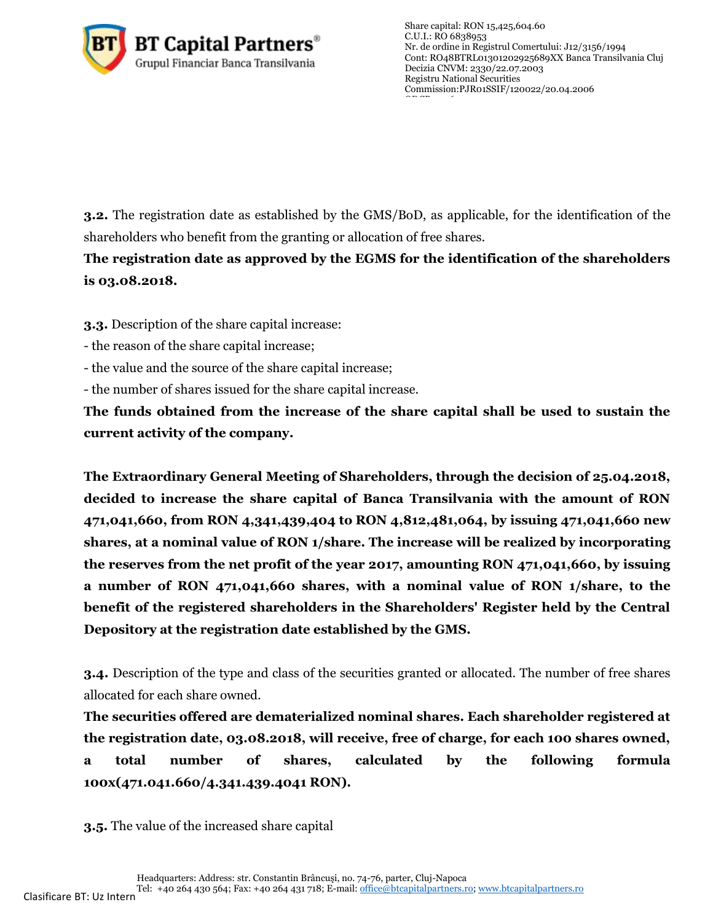

**3.2.** The registration date as established by the GMS/BoD, as applicable, for the identification of the shareholders who benefit from the granting or allocation of free shares.

## **The registration date as approved by the EGMS for the identification of the shareholders is 03.08.2018.**

**3.3.** Description of the share capital increase:

- the reason of the share capital increase;
- the value and the source of the share capital increase;
- the number of shares issued for the share capital increase.

**The funds obtained from the increase of the share capital shall be used to sustain the current activity of the company.**

**The Extraordinary General Meeting of Shareholders, through the decision of 25.04.2018, decided to increase the share capital of Banca Transilvania with the amount of RON 471,041,660, from RON 4,341,439,404 to RON 4,812,481,064, by issuing 471,041,660 new shares, at a nominal value of RON 1/share. The increase will be realized by incorporating the reserves from the net profit of the year 2017, amounting RON 471,041,660, by issuing a number of RON 471,041,660 shares, with a nominal value of RON 1/share, to the benefit of the registered shareholders in the Shareholders' Register held by the Central Depository at the registration date established by the GMS.**

**3.4.** Description of the type and class of the securities granted or allocated. The number of free shares allocated for each share owned.

**The securities offered are dematerialized nominal shares. Each shareholder registered at the registration date, 03.08.2018, will receive, free of charge, for each 100 shares owned, a total number of shares, calculated by the following formula 100x(471.041.660/4.341.439.4041 RON).**

**3.5.** The value of the increased share capital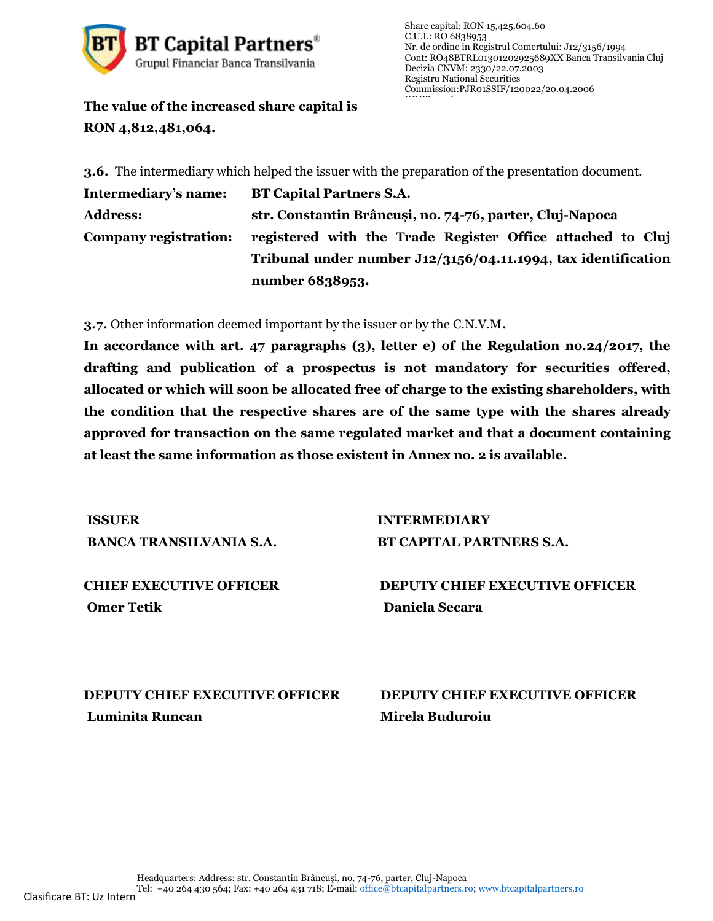

**The value of the increased share capital is RON 4,812,481,064.**

**3.6.** The intermediary which helped the issuer with the preparation of the presentation document.

**Intermediary's name: BT Capital Partners S.A. Address: str. Constantin Brâncuşi, no. 74-76, parter, Cluj-Napoca Company registration: registered with the Trade Register Office attached to Cluj Tribunal under number J12/3156/04.11.1994, tax identification number 6838953.**

**3.7.** Other information deemed important by the issuer or by the C.N.V.M**.**

**In accordance with art. 47 paragraphs (3), letter e) of the Regulation no.24/2017, the drafting and publication of a prospectus is not mandatory for securities offered, allocated or which will soon be allocated free of charge to the existing shareholders, with the condition that the respective shares are of the same type with the shares already approved for transaction on the same regulated market and that a document containing at least the same information as those existent in Annex no. 2 is available.**

**ISSUER INTERMEDIARY**

**BANCA TRANSILVANIA S.A. BT CAPITAL PARTNERS S.A.**

**Omer Tetik Daniela Secara** 

**CHIEF EXECUTIVE OFFICER DEPUTY CHIEF EXECUTIVE OFFICER**

**DEPUTY CHIEF EXECUTIVE OFFICER DEPUTY CHIEF EXECUTIVE OFFICER Luminita Runcan Mirela Buduroiu**